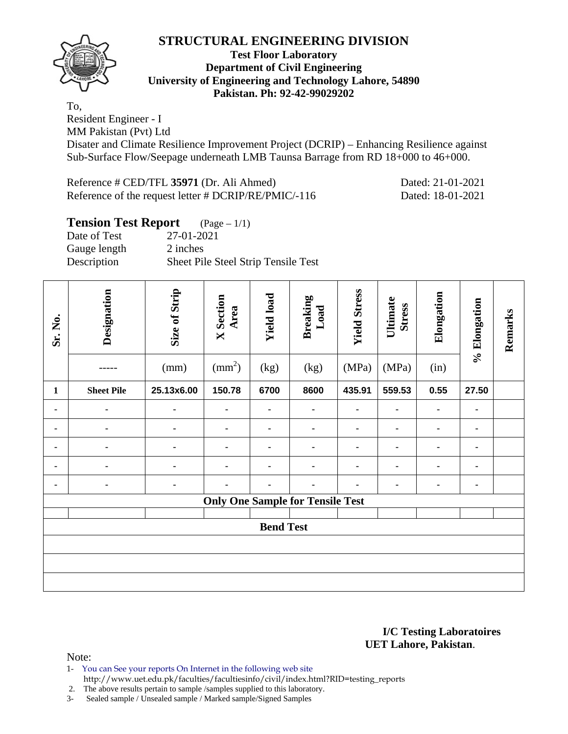

**Test Floor Laboratory Department of Civil Engineering University of Engineering and Technology Lahore, 54890 Pakistan. Ph: 92-42-99029202** 

To,

Resident Engineer - I MM Pakistan (Pvt) Ltd

Disater and Climate Resilience Improvement Project (DCRIP) – Enhancing Resilience against Sub-Surface Flow/Seepage underneath LMB Taunsa Barrage from RD 18+000 to 46+000.

Reference # CED/TFL **35971** (Dr. Ali Ahmed) Dated: 21-01-2021 Reference of the request letter # DCRIP/RE/PMIC/-116 Dated: 18-01-2021

| <b>Tension Test Report</b> $(Page-1/1)$ |                                     |
|-----------------------------------------|-------------------------------------|
| Date of Test                            | 27-01-2021                          |
| Gauge length                            | 2 inches                            |
| Description                             | Sheet Pile Steel Strip Tensile Test |

| Sr. No.      | Designation       | Size of Strip<br>(mm) | <b>X</b> Section<br>Area<br>$\text{mm}^2$ | <b>Yield load</b><br>(kg) | <b>Breaking</b><br>Load<br>(kg)         | <b>Yield Stress</b><br>(MPa) | Ultimate<br><b>Stress</b><br>(MPa) | Elongation<br>(in) | % Elongation | Remarks |
|--------------|-------------------|-----------------------|-------------------------------------------|---------------------------|-----------------------------------------|------------------------------|------------------------------------|--------------------|--------------|---------|
| $\mathbf{1}$ | <b>Sheet Pile</b> | 25.13x6.00            | 150.78                                    | 6700                      | 8600                                    | 435.91                       | 559.53                             | 0.55               | 27.50        |         |
|              |                   | ۰                     | ۰                                         |                           |                                         |                              |                                    | ۰                  | ٠            |         |
|              | ۰                 | ۰                     | ٠                                         |                           |                                         |                              |                                    |                    | ۰            |         |
|              |                   | ۰                     | ٠                                         | ٠                         |                                         |                              |                                    | ۰                  | ٠            |         |
|              |                   | ٠                     | $\blacksquare$                            |                           |                                         |                              |                                    | $\blacksquare$     | ٠            |         |
|              |                   | ۰                     |                                           |                           |                                         |                              |                                    | -                  | ٠            |         |
|              |                   |                       |                                           |                           | <b>Only One Sample for Tensile Test</b> |                              |                                    |                    |              |         |
|              |                   |                       |                                           | <b>Bend Test</b>          |                                         |                              |                                    |                    |              |         |
|              |                   |                       |                                           |                           |                                         |                              |                                    |                    |              |         |
|              |                   |                       |                                           |                           |                                         |                              |                                    |                    |              |         |
|              |                   |                       |                                           |                           |                                         |                              |                                    |                    |              |         |

**I/C Testing Laboratoires UET Lahore, Pakistan**.

Note:

1- You can See your reports On Internet in the following web site http://www.uet.edu.pk/faculties/facultiesinfo/civil/index.html?RID=testing\_reports

2. The above results pertain to sample /samples supplied to this laboratory.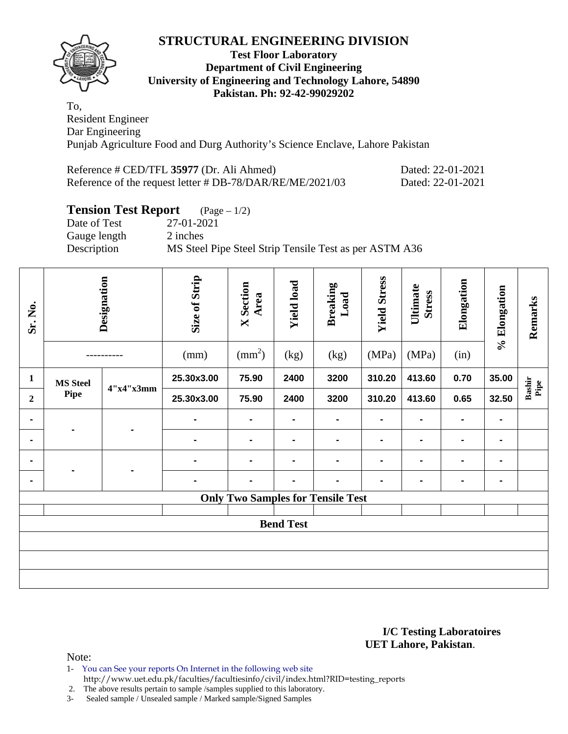

## **Test Floor Laboratory Department of Civil Engineering University of Engineering and Technology Lahore, 54890 Pakistan. Ph: 92-42-99029202**

To, Resident Engineer Dar Engineering Punjab Agriculture Food and Durg Authority's Science Enclave, Lahore Pakistan

| Reference # CED/TFL 35977 (Dr. Ali Ahmed)                 | Dated: 22-01-2021 |
|-----------------------------------------------------------|-------------------|
| Reference of the request letter # DB-78/DAR/RE/ME/2021/03 | Dated: 22-01-2021 |

# **Tension Test Report** (Page – 1/2)

Date of Test 27-01-2021 Gauge length 2 inches Description MS Steel Pipe Steel Strip Tensile Test as per ASTM A36

| Sr. No.          |                 | Designation | Size of Strip<br>(mm) | <b>X</b> Section<br>Area<br>$\text{mm}^2$ ) | <b>Yield load</b><br>(kg) | <b>Breaking</b><br>Load<br>(kg)          | <b>Yield Stress</b><br>(MPa) | Ultimate<br><b>Stress</b><br>(MPa) | Elongation<br>(in) | % Elongation   | Remarks       |
|------------------|-----------------|-------------|-----------------------|---------------------------------------------|---------------------------|------------------------------------------|------------------------------|------------------------------------|--------------------|----------------|---------------|
| 1                | <b>MS Steel</b> |             | 25.30x3.00            | 75.90                                       | 2400                      | 3200                                     | 310.20                       | 413.60                             | 0.70               | 35.00          | Pipe          |
| $\boldsymbol{2}$ | Pipe            | 4"x4"x3mm   | 25.30x3.00            | 75.90                                       | 2400                      | 3200                                     | 310.20                       | 413.60                             | 0.65               | 32.50          | <b>Bashir</b> |
|                  |                 |             | $\blacksquare$        | $\blacksquare$                              | $\blacksquare$            | $\blacksquare$                           | $\blacksquare$               | $\blacksquare$                     | $\blacksquare$     | $\blacksquare$ |               |
|                  |                 |             | $\blacksquare$        |                                             |                           | -                                        | $\blacksquare$               |                                    | $\blacksquare$     |                |               |
|                  |                 |             | $\blacksquare$        | $\blacksquare$                              | $\blacksquare$            | $\blacksquare$                           | $\blacksquare$               | $\blacksquare$                     | $\blacksquare$     | ۰              |               |
|                  |                 |             |                       |                                             |                           |                                          | $\blacksquare$               |                                    | ۰                  | Ξ.             |               |
|                  |                 |             |                       |                                             |                           | <b>Only Two Samples for Tensile Test</b> |                              |                                    |                    |                |               |
|                  |                 |             |                       |                                             | <b>Bend Test</b>          |                                          |                              |                                    |                    |                |               |
|                  |                 |             |                       |                                             |                           |                                          |                              |                                    |                    |                |               |
|                  |                 |             |                       |                                             |                           |                                          |                              |                                    |                    |                |               |
|                  |                 |             |                       |                                             |                           |                                          |                              |                                    |                    |                |               |

### **I/C Testing Laboratoires UET Lahore, Pakistan**.

Note:

- 1- You can See your reports On Internet in the following web site
	- http://www.uet.edu.pk/faculties/facultiesinfo/civil/index.html?RID=testing\_reports

2. The above results pertain to sample /samples supplied to this laboratory.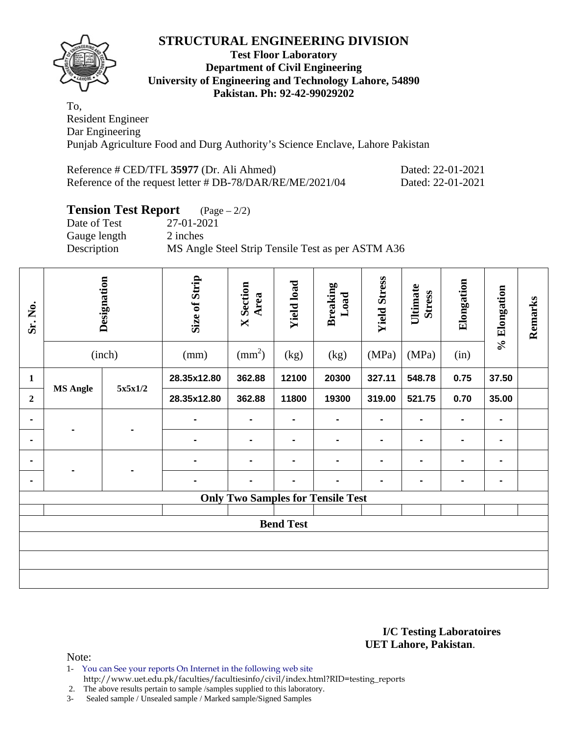

## **Test Floor Laboratory Department of Civil Engineering University of Engineering and Technology Lahore, 54890 Pakistan. Ph: 92-42-99029202**

To, Resident Engineer Dar Engineering Punjab Agriculture Food and Durg Authority's Science Enclave, Lahore Pakistan

| Reference # CED/TFL 35977 (Dr. Ali Ahmed)                 | Dated: 22-01-2021 |
|-----------------------------------------------------------|-------------------|
| Reference of the request letter # DB-78/DAR/RE/ME/2021/04 | Dated: 22-01-2021 |

# **Tension Test Report** (Page – 2/2)

Date of Test 27-01-2021 Gauge length 2 inches Description MS Angle Steel Strip Tensile Test as per ASTM A36

| Sr. No.          |                 | Designation<br>(inch) | Size of Strip<br>(mm) | <b>X</b> Section<br>Area<br>$\text{mm}^2$ ) | <b>Yield load</b><br>(kg) | <b>Breaking</b><br>Load<br>(kg)          | <b>Yield Stress</b><br>(MPa) | Ultimate<br><b>Stress</b><br>(MPa) | Elongation<br>(in) | % Elongation   | Remarks |
|------------------|-----------------|-----------------------|-----------------------|---------------------------------------------|---------------------------|------------------------------------------|------------------------------|------------------------------------|--------------------|----------------|---------|
| 1                |                 |                       | 28.35x12.80           | 362.88                                      | 12100                     | 20300                                    | 327.11                       | 548.78                             | 0.75               | 37.50          |         |
| $\boldsymbol{2}$ | <b>MS Angle</b> | 5x5x1/2               | 28.35x12.80           | 362.88                                      | 11800                     | 19300                                    | 319.00                       | 521.75                             | 0.70               | 35.00          |         |
|                  |                 |                       | $\blacksquare$        |                                             |                           | $\blacksquare$                           | $\blacksquare$               |                                    |                    | $\blacksquare$ |         |
| $\blacksquare$   |                 |                       | ۰                     |                                             |                           | -                                        | $\blacksquare$               |                                    | $\blacksquare$     | $\blacksquare$ |         |
|                  |                 |                       | -                     |                                             |                           | -                                        | $\blacksquare$               |                                    |                    | $\blacksquare$ |         |
|                  |                 |                       |                       |                                             |                           |                                          | $\blacksquare$               |                                    |                    | $\blacksquare$ |         |
|                  |                 |                       |                       |                                             |                           | <b>Only Two Samples for Tensile Test</b> |                              |                                    |                    |                |         |
|                  |                 |                       |                       |                                             | <b>Bend Test</b>          |                                          |                              |                                    |                    |                |         |
|                  |                 |                       |                       |                                             |                           |                                          |                              |                                    |                    |                |         |
|                  |                 |                       |                       |                                             |                           |                                          |                              |                                    |                    |                |         |
|                  |                 |                       |                       |                                             |                           |                                          |                              |                                    |                    |                |         |

### **I/C Testing Laboratoires UET Lahore, Pakistan**.

Note:

- 1- You can See your reports On Internet in the following web site
	- http://www.uet.edu.pk/faculties/facultiesinfo/civil/index.html?RID=testing\_reports

2. The above results pertain to sample /samples supplied to this laboratory.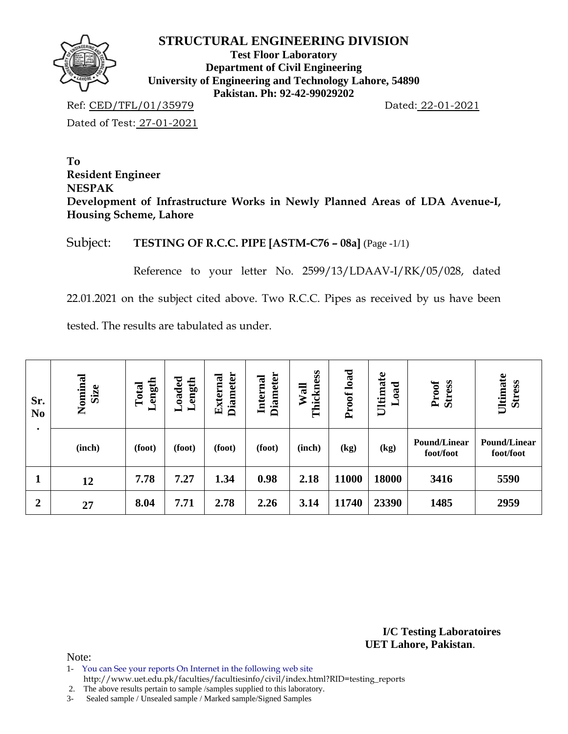

**Test Floor Laboratory Department of Civil Engineering University of Engineering and Technology Lahore, 54890 Pakistan. Ph: 92-42-99029202** 

Ref: CED/TFL/01/35979 Dated: 22-01-2021

Dated of Test: 27-01-2021

**To Resident Engineer NESPAK Development of Infrastructure Works in Newly Planned Areas of LDA Avenue-I, Housing Scheme, Lahore** 

Subject: **TESTING OF R.C.C. PIPE [ASTM-C76 – 08a]** (Page -1/1)

Reference to your letter No. 2599/13/LDAAV-I/RK/05/028, dated

22.01.2021 on the subject cited above. Two R.C.C. Pipes as received by us have been

tested. The results are tabulated as under.

| Sr.<br>N <sub>0</sub> | Nominal<br>Size | Length<br>Total              | <b>baded</b><br>ength<br>┙<br>ь | <b>Diameter</b><br>External | <b>Diameter</b><br>Internal | Thickness<br>Wall | Proof load | Ultimate<br>bao<br>⊨ | <b>Stress</b><br>Proof           | Ultimate<br><b>Stress</b>        |
|-----------------------|-----------------|------------------------------|---------------------------------|-----------------------------|-----------------------------|-------------------|------------|----------------------|----------------------------------|----------------------------------|
|                       | (inch)          | (foot)                       | (foot)                          | (foot)                      | (foot)                      | (inch)            | (kg)       | (kg)                 | <b>Pound/Linear</b><br>foot/foot | <b>Pound/Linear</b><br>foot/foot |
|                       | 12              | 0.98<br>7.78<br>7.27<br>1.34 |                                 | 2.18                        | 11000                       | 18000             | 3416       | 5590                 |                                  |                                  |
| $\overline{2}$        | 27              | 8.04                         | 7.71                            | 2.78                        | 2.26                        | 3.14              | 11740      | 23390                | 1485                             | 2959                             |

**I/C Testing Laboratoires UET Lahore, Pakistan**.

Note:

1- You can See your reports On Internet in the following web site

http://www.uet.edu.pk/faculties/facultiesinfo/civil/index.html?RID=testing\_reports

2. The above results pertain to sample /samples supplied to this laboratory.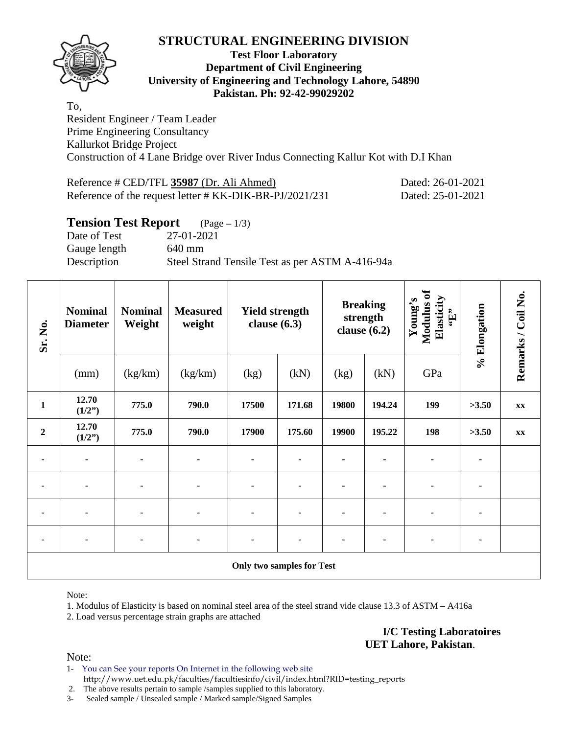

## **Test Floor Laboratory Department of Civil Engineering University of Engineering and Technology Lahore, 54890 Pakistan. Ph: 92-42-99029202**

To, Resident Engineer / Team Leader Prime Engineering Consultancy Kallurkot Bridge Project Construction of 4 Lane Bridge over River Indus Connecting Kallur Kot with D.I Khan

| Reference # CED/TFL 35987 (Dr. Ali Ahmed)               | Dated: 26-01-2021 |
|---------------------------------------------------------|-------------------|
| Reference of the request letter # KK-DIK-BR-PJ/2021/231 | Dated: 25-01-2021 |

## **Tension Test Report** (Page – 1/3)

Date of Test 27-01-2021 Gauge length 640 mm Description Steel Strand Tensile Test as per ASTM A-416-94a

| Sr. No.          | <b>Nominal</b><br><b>Diameter</b> | <b>Nominal</b><br>Weight | <b>Yield strength</b><br><b>Measured</b><br>weight<br>clause $(6.3)$ |                |                                  | <b>Breaking</b><br>strength<br>clause $(6.2)$ | Modulus of<br>Elasticity<br>Young's<br>$\mathbf{f}$ . | % Elongation | Remarks / Coil No. |               |
|------------------|-----------------------------------|--------------------------|----------------------------------------------------------------------|----------------|----------------------------------|-----------------------------------------------|-------------------------------------------------------|--------------|--------------------|---------------|
|                  | (mm)                              | (kg/km)                  | (kg/km)                                                              | (kg)           | (kN)                             | (kg)                                          | (kN)                                                  | GPa          |                    |               |
| $\mathbf{1}$     | 12.70<br>(1/2")                   | 775.0                    | 790.0                                                                | 17500          | 171.68                           | 19800                                         | 194.24                                                | 199          | >3.50              | $\mathbf{XX}$ |
| $\boldsymbol{2}$ | 12.70<br>(1/2")                   | 775.0                    | 790.0                                                                | 17900          | 175.60                           | 19900                                         | 195.22                                                | 198          | >3.50              | XX            |
|                  | $\blacksquare$                    | ٠                        | ٠                                                                    | $\blacksquare$ |                                  |                                               |                                                       | ۰            |                    |               |
| ۰                | $\blacksquare$                    | $\blacksquare$           | $\blacksquare$                                                       | ۰              |                                  |                                               |                                                       |              |                    |               |
|                  |                                   |                          | ۰                                                                    |                |                                  |                                               |                                                       |              |                    |               |
|                  | $\blacksquare$                    | ٠                        | ۰                                                                    |                |                                  |                                               |                                                       |              |                    |               |
|                  |                                   |                          |                                                                      |                | <b>Only two samples for Test</b> |                                               |                                                       |              |                    |               |

Note:

1. Modulus of Elasticity is based on nominal steel area of the steel strand vide clause 13.3 of ASTM – A416a 2. Load versus percentage strain graphs are attached

> **I/C Testing Laboratoires UET Lahore, Pakistan**.

Note:

1- You can See your reports On Internet in the following web site http://www.uet.edu.pk/faculties/facultiesinfo/civil/index.html?RID=testing\_reports

2. The above results pertain to sample /samples supplied to this laboratory.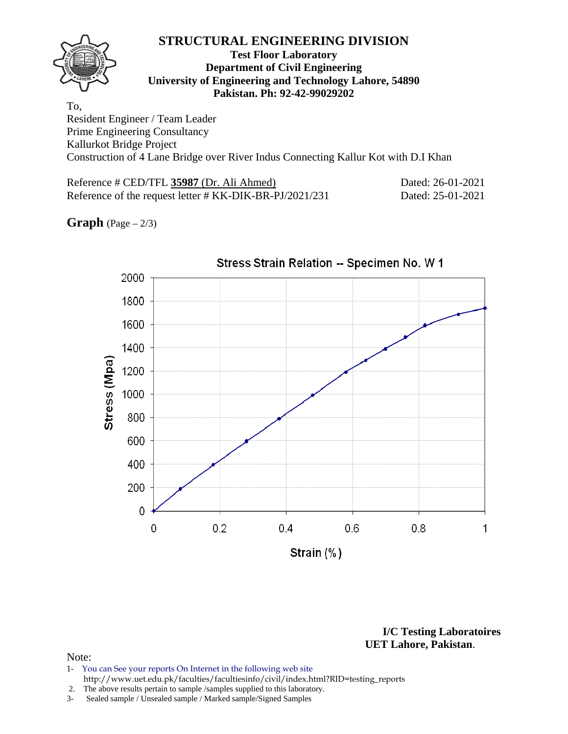## **Test Floor Laboratory Department of Civil Engineering University of Engineering and Technology Lahore, 54890 Pakistan. Ph: 92-42-99029202**

To, Resident Engineer / Team Leader Prime Engineering Consultancy Kallurkot Bridge Project Construction of 4 Lane Bridge over River Indus Connecting Kallur Kot with D.I Khan

Reference # CED/TFL **35987** (Dr. Ali Ahmed) Dated: 26-01-2021 Reference of the request letter # KK-DIK-BR-PJ/2021/231 Dated: 25-01-2021

**Graph**  $(Page - 2/3)$ 



**I/C Testing Laboratoires UET Lahore, Pakistan**.

#### Note:

- 1- You can See your reports On Internet in the following web site http://www.uet.edu.pk/faculties/facultiesinfo/civil/index.html?RID=testing\_reports
- 2. The above results pertain to sample /samples supplied to this laboratory.
- 3- Sealed sample / Unsealed sample / Marked sample/Signed Samples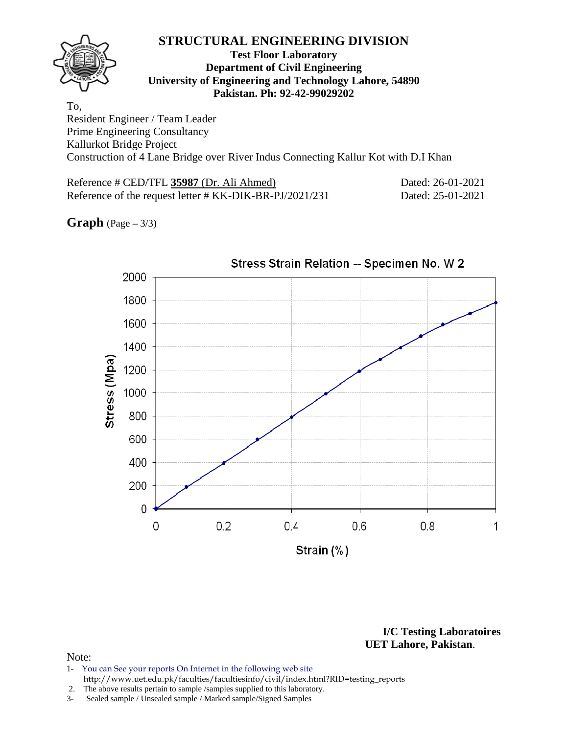## **Test Floor Laboratory Department of Civil Engineering University of Engineering and Technology Lahore, 54890 Pakistan. Ph: 92-42-99029202**

To, Resident Engineer / Team Leader Prime Engineering Consultancy Kallurkot Bridge Project Construction of 4 Lane Bridge over River Indus Connecting Kallur Kot with D.I Khan

Reference # CED/TFL **35987** (Dr. Ali Ahmed) Dated: 26-01-2021 Reference of the request letter # KK-DIK-BR-PJ/2021/231 Dated: 25-01-2021

**Graph** (Page – 3/3)



**I/C Testing Laboratoires UET Lahore, Pakistan**.

#### Note:

- 1- You can See your reports On Internet in the following web site http://www.uet.edu.pk/faculties/facultiesinfo/civil/index.html?RID=testing\_reports
- 2. The above results pertain to sample /samples supplied to this laboratory.
- 3- Sealed sample / Unsealed sample / Marked sample/Signed Samples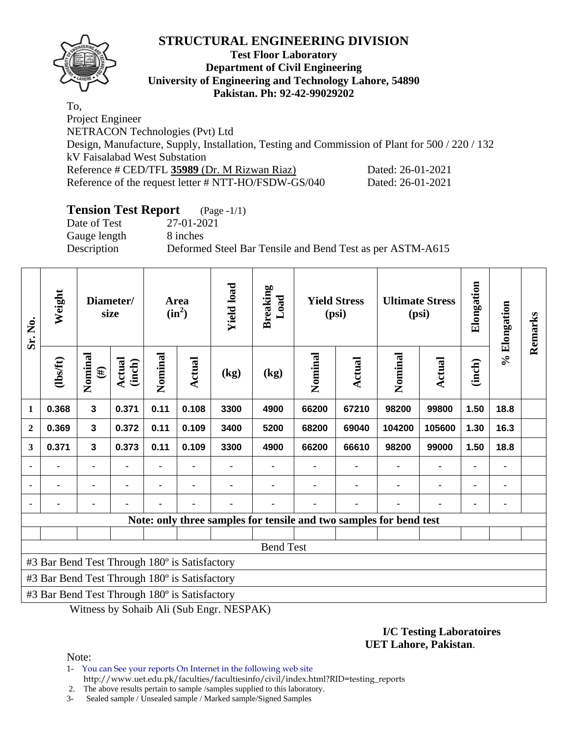

## **Test Floor Laboratory Department of Civil Engineering University of Engineering and Technology Lahore, 54890 Pakistan. Ph: 92-42-99029202**

To, Project Engineer NETRACON Technologies (Pvt) Ltd Design, Manufacture, Supply, Installation, Testing and Commission of Plant for 500 / 220 / 132 kV Faisalabad West Substation Reference # CED/TFL 35989 (Dr. M Rizwan Riaz) Dated: 26-01-2021 Reference of the request letter # NTT-HO/FSDW-GS/040 Dated: 26-01-2021

# **Tension Test Report** (Page -1/1)

Date of Test 27-01-2021 Gauge length 8 inches

Description Deformed Steel Bar Tensile and Bend Test as per ASTM-A615

| Sr. No.        | Weight                                        |                         | Diameter/<br>size       |         | Area<br>$(in^2)$ | <b>Yield load</b> | <b>Breaking</b><br>Load | <b>Yield Stress</b><br>(psi)                                       |               | <b>Ultimate Stress</b><br>(psi) |        | Elongation     | % Elongation | Remarks |
|----------------|-----------------------------------------------|-------------------------|-------------------------|---------|------------------|-------------------|-------------------------|--------------------------------------------------------------------|---------------|---------------------------------|--------|----------------|--------------|---------|
|                | (1bsft)                                       | Nominal<br>$(\#)$       | <b>Actual</b><br>(inch) | Nominal | Actual           | (kg)              | (kg)                    | Nominal                                                            | <b>Actual</b> | Nominal                         | Actual | (inch)         |              |         |
| 1              | 0.368                                         | $\overline{\mathbf{3}}$ | 0.371                   | 0.11    | 0.108            | 3300              | 4900                    | 66200                                                              | 67210         | 98200                           | 99800  | 1.50           | 18.8         |         |
| $\overline{2}$ | 0.369                                         | $\overline{\mathbf{3}}$ | 0.372                   | 0.11    | 0.109            | 3400              | 5200                    | 68200                                                              | 69040         | 104200                          | 105600 | 1.30           | 16.3         |         |
| 3              | 0.371                                         | $\mathbf{3}$            | 0.373                   | 0.11    | 0.109            | 3300              | 4900                    | 66200                                                              | 66610         | 98200                           | 99000  | 1.50           | 18.8         |         |
|                |                                               | $\blacksquare$          |                         |         |                  |                   |                         |                                                                    |               |                                 |        |                |              |         |
|                |                                               | $\blacksquare$          |                         |         |                  |                   |                         |                                                                    |               |                                 |        | $\blacksquare$ |              |         |
|                |                                               |                         |                         |         |                  |                   |                         |                                                                    |               |                                 |        |                |              |         |
|                |                                               |                         |                         |         |                  |                   |                         | Note: only three samples for tensile and two samples for bend test |               |                                 |        |                |              |         |
|                |                                               |                         |                         |         |                  |                   |                         |                                                                    |               |                                 |        |                |              |         |
|                |                                               |                         |                         |         |                  |                   | <b>Bend Test</b>        |                                                                    |               |                                 |        |                |              |         |
|                | #3 Bar Bend Test Through 180° is Satisfactory |                         |                         |         |                  |                   |                         |                                                                    |               |                                 |        |                |              |         |
|                | #3 Bar Bend Test Through 180° is Satisfactory |                         |                         |         |                  |                   |                         |                                                                    |               |                                 |        |                |              |         |
|                | #3 Bar Bend Test Through 180° is Satisfactory |                         |                         |         |                  |                   |                         |                                                                    |               |                                 |        |                |              |         |

Witness by Sohaib Ali (Sub Engr. NESPAK)

## **I/C Testing Laboratoires UET Lahore, Pakistan**.

Note:

1- You can See your reports On Internet in the following web site http://www.uet.edu.pk/faculties/facultiesinfo/civil/index.html?RID=testing\_reports

2. The above results pertain to sample /samples supplied to this laboratory.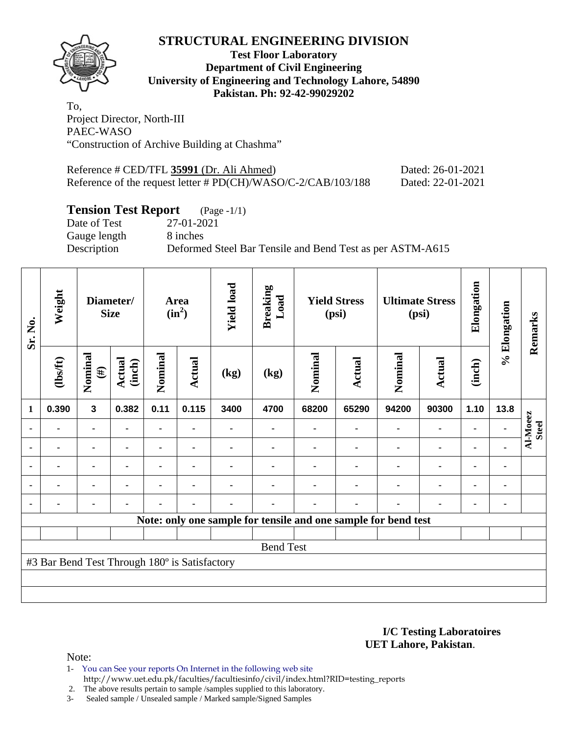

## **Test Floor Laboratory Department of Civil Engineering University of Engineering and Technology Lahore, 54890 Pakistan. Ph: 92-42-99029202**

To, Project Director, North-III PAEC-WASO "Construction of Archive Building at Chashma"

| Reference # CED/TFL 35991 (Dr. Ali Ahmed)                     | Dated: 26-01-2021 |
|---------------------------------------------------------------|-------------------|
| Reference of the request letter # PD(CH)/WASO/C-2/CAB/103/188 | Dated: 22-01-2021 |

# **Tension Test Report** (Page -1/1)

Date of Test 27-01-2021 Gauge length 8 inches Description Deformed Steel Bar Tensile and Bend Test as per ASTM-A615

| Sr. No.        | Weight                                        |                   | Diameter/<br><b>Size</b> |         | <b>Area</b><br>$(in^2)$ | <b>Yield load</b> | <b>Breaking</b><br>Load | <b>Yield Stress</b><br>(psi) |               |                                                                |                |                |      |                          |  |  |  | <b>Ultimate Stress</b><br>(psi) |  | Elongation | % Elongation | Remarks |
|----------------|-----------------------------------------------|-------------------|--------------------------|---------|-------------------------|-------------------|-------------------------|------------------------------|---------------|----------------------------------------------------------------|----------------|----------------|------|--------------------------|--|--|--|---------------------------------|--|------------|--------------|---------|
|                | $\frac{2}{10}$                                | Nominal<br>$(\#)$ | Actual<br>(inch)         | Nominal | Actual                  | (kg)              | (kg)                    | Nominal                      | <b>Actual</b> | Nominal                                                        | <b>Actual</b>  | (inch)         |      |                          |  |  |  |                                 |  |            |              |         |
| $\mathbf{1}$   | 0.390                                         | $\mathbf{3}$      | 0.382                    | 0.11    | 0.115                   | 3400              | 4700                    | 68200                        | 65290         | 94200                                                          | 90300          | 1.10           | 13.8 |                          |  |  |  |                                 |  |            |              |         |
|                | ۰                                             | $\blacksquare$    |                          | -       |                         |                   |                         |                              |               | $\blacksquare$                                                 | $\blacksquare$ | ٠              |      | Al-Moeez<br><b>Steel</b> |  |  |  |                                 |  |            |              |         |
|                |                                               | ۰                 |                          |         |                         |                   |                         |                              |               |                                                                | ۰              | $\blacksquare$ |      |                          |  |  |  |                                 |  |            |              |         |
| ٠              |                                               | ۰                 |                          |         |                         |                   |                         |                              |               |                                                                | ٠              | ٠              |      |                          |  |  |  |                                 |  |            |              |         |
| $\blacksquare$ |                                               | $\blacksquare$    | $\blacksquare$           |         |                         |                   |                         |                              |               | ٠                                                              | ۰              | $\blacksquare$ |      |                          |  |  |  |                                 |  |            |              |         |
|                |                                               | ٠                 |                          |         | ٠                       |                   |                         |                              | ٠             | ٠                                                              | ۰              | ٠              |      |                          |  |  |  |                                 |  |            |              |         |
|                |                                               |                   |                          |         |                         |                   |                         |                              |               | Note: only one sample for tensile and one sample for bend test |                |                |      |                          |  |  |  |                                 |  |            |              |         |
|                |                                               |                   |                          |         |                         |                   |                         |                              |               |                                                                |                |                |      |                          |  |  |  |                                 |  |            |              |         |
|                |                                               |                   |                          |         |                         |                   | <b>Bend Test</b>        |                              |               |                                                                |                |                |      |                          |  |  |  |                                 |  |            |              |         |
|                | #3 Bar Bend Test Through 180° is Satisfactory |                   |                          |         |                         |                   |                         |                              |               |                                                                |                |                |      |                          |  |  |  |                                 |  |            |              |         |
|                |                                               |                   |                          |         |                         |                   |                         |                              |               |                                                                |                |                |      |                          |  |  |  |                                 |  |            |              |         |
|                |                                               |                   |                          |         |                         |                   |                         |                              |               |                                                                |                |                |      |                          |  |  |  |                                 |  |            |              |         |

**I/C Testing Laboratoires UET Lahore, Pakistan**.

Note:

1- You can See your reports On Internet in the following web site http://www.uet.edu.pk/faculties/facultiesinfo/civil/index.html?RID=testing\_reports

2. The above results pertain to sample / samples supplied to this laboratory.<br>3- Sealed sample / Unsealed sample / Marked sample/Signed Samples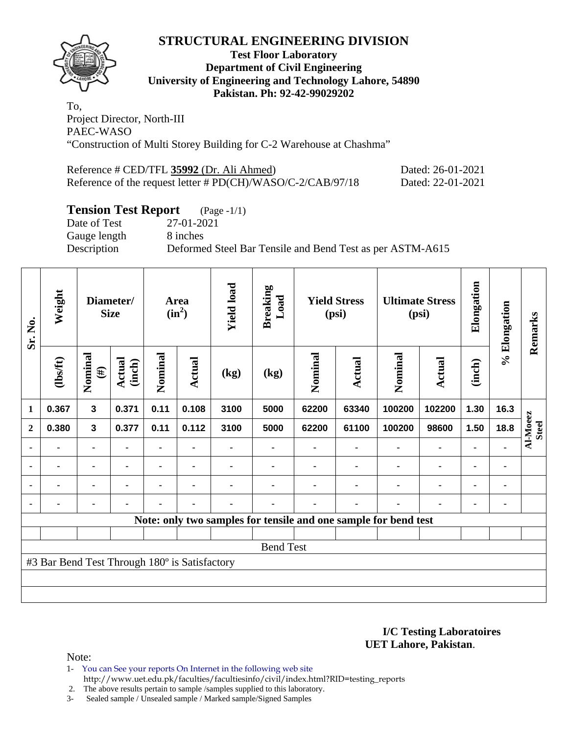

## **Test Floor Laboratory Department of Civil Engineering University of Engineering and Technology Lahore, 54890 Pakistan. Ph: 92-42-99029202**

To, Project Director, North-III PAEC-WASO "Construction of Multi Storey Building for C-2 Warehouse at Chashma"

| Reference # CED/TFL 35992 (Dr. Ali Ahmed)                   | Dated: 26-01-2021 |
|-------------------------------------------------------------|-------------------|
| Reference of the request letter # PD(CH)/WASO/C-2/CAB/97/18 | Dated: 22-01-2021 |

# **Tension Test Report** (Page -1/1)

Date of Test 27-01-2021 Gauge length 8 inches

Description Deformed Steel Bar Tensile and Bend Test as per ASTM-A615

| Sr. No.          | Weight                                        |                         | Diameter/<br><b>Size</b> |         | Area<br>$(in^2)$ | <b>Yield load</b> | <b>Breaking</b><br>Load  |                                                                 | <b>Yield Stress</b><br>(psi) |         | <b>Ultimate Stress</b><br>(psi) | Elongation     | % Elongation | Remarks                  |
|------------------|-----------------------------------------------|-------------------------|--------------------------|---------|------------------|-------------------|--------------------------|-----------------------------------------------------------------|------------------------------|---------|---------------------------------|----------------|--------------|--------------------------|
|                  | $\frac{2}{10}$                                | Nominal<br>$(\#)$       | <b>Actual</b><br>(inch)  | Nominal | Actual           | (kg)              | $\left(\text{kg}\right)$ | Nominal                                                         | Actual                       | Nominal | Actual                          | (inch)         |              |                          |
| $\mathbf{1}$     | 0.367                                         | $\overline{\mathbf{3}}$ | 0.371                    | 0.11    | 0.108            | 3100              | 5000                     | 62200                                                           | 63340                        | 100200  | 102200                          | 1.30           | 16.3         |                          |
| $\mathbf{2}$     | 0.380                                         | 3                       | 0.377                    | 0.11    | 0.112            | 3100              | 5000                     | 62200                                                           | 61100                        | 100200  | 98600                           | 1.50           | 18.8         | Al-Moeez<br><b>Steel</b> |
|                  |                                               | $\blacksquare$          |                          |         |                  |                   |                          |                                                                 |                              |         |                                 |                |              |                          |
| $\blacksquare$   | ۰                                             | ۰                       | $\blacksquare$           | ۰       | $\blacksquare$   |                   |                          |                                                                 |                              |         | ٠                               | $\blacksquare$ | ٠            |                          |
| $\blacksquare$   |                                               | ۰                       | $\blacksquare$           |         |                  |                   |                          |                                                                 |                              |         | $\blacksquare$                  | $\blacksquare$ | ۰            |                          |
|                  | -                                             | ۰                       | ٠                        | ۰       | $\blacksquare$   | ۰                 |                          |                                                                 | ۰                            |         | $\blacksquare$                  | ٠              | ٠            |                          |
|                  |                                               |                         |                          |         |                  |                   |                          | Note: only two samples for tensile and one sample for bend test |                              |         |                                 |                |              |                          |
|                  |                                               |                         |                          |         |                  |                   |                          |                                                                 |                              |         |                                 |                |              |                          |
| <b>Bend Test</b> |                                               |                         |                          |         |                  |                   |                          |                                                                 |                              |         |                                 |                |              |                          |
|                  | #3 Bar Bend Test Through 180° is Satisfactory |                         |                          |         |                  |                   |                          |                                                                 |                              |         |                                 |                |              |                          |
|                  |                                               |                         |                          |         |                  |                   |                          |                                                                 |                              |         |                                 |                |              |                          |
|                  |                                               |                         |                          |         |                  |                   |                          |                                                                 |                              |         |                                 |                |              |                          |

**I/C Testing Laboratoires UET Lahore, Pakistan**.

Note:

1- You can See your reports On Internet in the following web site http://www.uet.edu.pk/faculties/facultiesinfo/civil/index.html?RID=testing\_reports

2. The above results pertain to sample /samples supplied to this laboratory.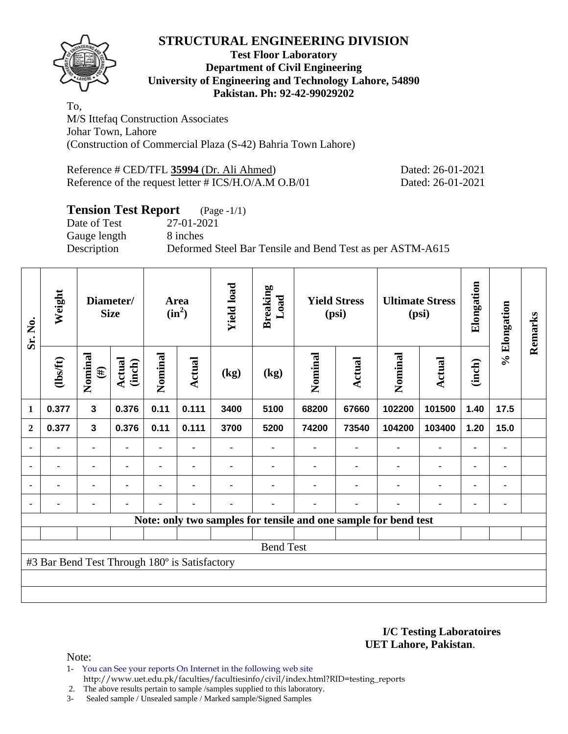

## **Test Floor Laboratory Department of Civil Engineering University of Engineering and Technology Lahore, 54890 Pakistan. Ph: 92-42-99029202**

To, M/S Ittefaq Construction Associates Johar Town, Lahore (Construction of Commercial Plaza (S-42) Bahria Town Lahore)

Reference # CED/TFL **35994** (Dr. Ali Ahmed) Dated: 26-01-2021 Reference of the request letter # ICS/H.O/A.M O.B/01 Dated: 26-01-2021

# **Tension Test Report** (Page -1/1)

Date of Test 27-01-2021 Gauge length 8 inches

Description Deformed Steel Bar Tensile and Bend Test as per ASTM-A615

| Sr. No.          | Weight                                        |                   | Diameter/<br><b>Size</b> |                | Area<br>$(in^2)$ | <b>Yield load</b> | <b>Breaking</b><br>Load |         | <b>Yield Stress</b><br>(psi) |                                                                 | <b>Ultimate Stress</b><br>(psi) | Elongation | % Elongation   | Remarks |
|------------------|-----------------------------------------------|-------------------|--------------------------|----------------|------------------|-------------------|-------------------------|---------|------------------------------|-----------------------------------------------------------------|---------------------------------|------------|----------------|---------|
|                  | (1bsft)                                       | Nominal<br>$(\#)$ | Actual<br>(inch)         | Nominal        | <b>Actual</b>    | (kg)              | (kg)                    | Nominal | Actual                       | Nominal                                                         | <b>Actual</b>                   | (inch)     |                |         |
| 1                | 0.377                                         | $\mathbf{3}$      | 0.376                    | 0.11           | 0.111            | 3400              | 5100                    | 68200   | 67660                        | 102200                                                          | 101500                          | 1.40       | 17.5           |         |
| $\overline{2}$   | 0.377                                         | $\mathbf{3}$      | 0.376                    | 0.11           | 0.111            | 3700              | 5200                    | 74200   | 73540                        | 104200                                                          | 103400                          | 1.20       | 15.0           |         |
|                  |                                               | ۰                 |                          | ۰              |                  |                   |                         |         |                              |                                                                 | $\blacksquare$                  | ٠          |                |         |
|                  |                                               | ۰                 |                          | $\blacksquare$ | $\blacksquare$   |                   |                         |         |                              |                                                                 | $\blacksquare$                  | ۰          | $\blacksquare$ |         |
|                  | ٠                                             | ۰                 | $\blacksquare$           | ۰              | $\blacksquare$   |                   |                         |         | ٠                            | $\blacksquare$                                                  | $\blacksquare$                  | ۰          | ٠              |         |
|                  |                                               | ٠                 |                          |                | ٠                |                   |                         |         | ٠                            |                                                                 | $\blacksquare$                  | ٠          |                |         |
|                  |                                               |                   |                          |                |                  |                   |                         |         |                              | Note: only two samples for tensile and one sample for bend test |                                 |            |                |         |
|                  |                                               |                   |                          |                |                  |                   |                         |         |                              |                                                                 |                                 |            |                |         |
| <b>Bend Test</b> |                                               |                   |                          |                |                  |                   |                         |         |                              |                                                                 |                                 |            |                |         |
|                  | #3 Bar Bend Test Through 180° is Satisfactory |                   |                          |                |                  |                   |                         |         |                              |                                                                 |                                 |            |                |         |
|                  |                                               |                   |                          |                |                  |                   |                         |         |                              |                                                                 |                                 |            |                |         |
|                  |                                               |                   |                          |                |                  |                   |                         |         |                              |                                                                 |                                 |            |                |         |

**I/C Testing Laboratoires UET Lahore, Pakistan**.

Note:

- 1- You can See your reports On Internet in the following web site http://www.uet.edu.pk/faculties/facultiesinfo/civil/index.html?RID=testing\_reports
- 2. The above results pertain to sample /samples supplied to this laboratory.